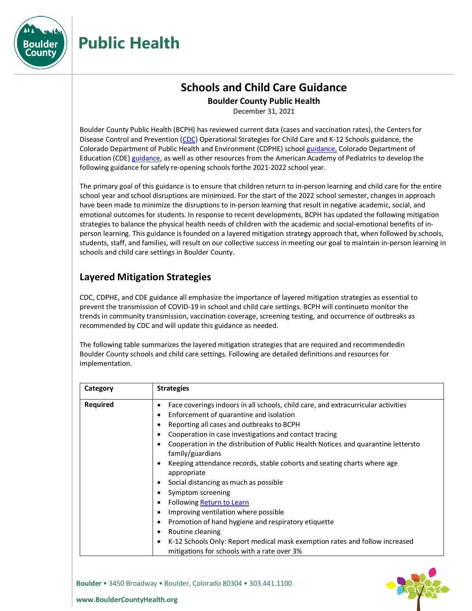

### **Schools and Child Care Guidance**

**Boulder County Public Health**

December 31, 2021

Boulder County Public Health (BCPH) has reviewed current data (cases and vaccination rates), the Centers for Disease Control and Preventio[n \(CDC\) O](https://www.cdc.gov/coronavirus/2019-ncov/community/schools-childcare/k-12-guidance.html)perational Strategies for Child Care and K-12 Schools guidance, the Colorado Department of Public Health and Environment (CDPHE) school [guidance,](https://covid19.colorado.gov/practical-guide-for-operationalizing-cdc-school-guidance) Colorado Department of Education (CDE) [guidance, a](https://www.cde.state.co.us/schoolguidance21-22)s well as other resources from the American Academy of Pediatrics to develop the following guidance for safely re-opening schools forthe 2021-2022 school year.

The primary goal of this guidance is to ensure that children return to in-person learning and child care for the entire school year and school disruptions are minimized. For the start of the 2022 school semester, changes in approach have been made to minimize the disruptions to in-person learning that result in negative academic, social, and emotional outcomes for students. In response to recent developments, BCPH has updated the following mitigation strategies to balance the physical health needs of children with the academic and social-emotional benefits of inperson learning. This guidance is founded on a layered mitigation strategy approach that, when followed by schools, students, staff, and families, will result on our collective success in meeting our goal to maintain in-person learning in schools and child care settings in Boulder County.

### **Layered Mitigation Strategies**

CDC, CDPHE, and CDE guidance all emphasize the importance of layered mitigation strategies as essential to prevent the transmission of COVID-19 in school and child care settings. BCPH will continueto monitor the trends in community transmission, vaccination coverage, screening testing, and occurrence of outbreaks as recommended by CDC and will update this guidance as needed.

The following table summarizes the layered mitigation strategies that are required and recommendedin Boulder County schools and child care settings. Following are detailed definitions and resourcesfor implementation.

| Category        | <b>Strategies</b>                                                                                     |
|-----------------|-------------------------------------------------------------------------------------------------------|
| <b>Required</b> | Face coverings indoors in all schools, child care, and extracurricular activities                     |
|                 | Enforcement of quarantine and isolation<br>٠                                                          |
|                 | Reporting all cases and outbreaks to BCPH                                                             |
|                 | Cooperation in case investigations and contact tracing                                                |
|                 | Cooperation in the distribution of Public Health Notices and quarantine lettersto<br>family/guardians |
|                 | Keeping attendance records, stable cohorts and seating charts where age<br>C<br>appropriate           |
|                 | Social distancing as much as possible                                                                 |
|                 | Symptom screening                                                                                     |
|                 | Following Return to Learn                                                                             |
|                 | Improving ventilation where possible                                                                  |
|                 | Promotion of hand hygiene and respiratory etiquette                                                   |
|                 | Routine cleaning                                                                                      |
|                 | K-12 Schools Only: Report medical mask exemption rates and follow increased<br>٠                      |
|                 | mitigations for schools with a rate over 3%                                                           |

**Boulder** • 3450 Broadway • Boulder, Colorado 80304 • 303.441.1100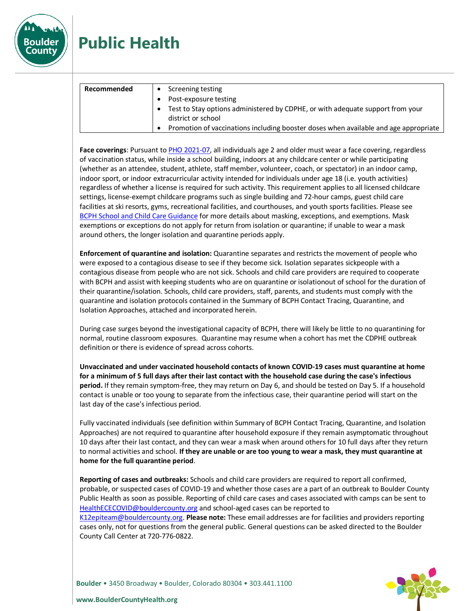

| Recommended | Screening testing                                                                                    |
|-------------|------------------------------------------------------------------------------------------------------|
|             | Post-exposure testing                                                                                |
|             | Test to Stay options administered by CDPHE, or with adequate support from your<br>district or school |
|             | Promotion of vaccinations including booster doses when available and age appropriate                 |

**Face coverings**: Pursuant t[o PHO 2021-07,](http://www.boco.org/pho-2021-07) all individuals age 2 and older must wear a face covering, regardless of vaccination status, while inside a school building, indoors at any childcare center or while participating (whether as an attendee, student, athlete, staff member, volunteer, coach, or spectator) in an indoor camp, indoor sport, or indoor extracurricular activity intended for individuals under age 18 (i.e. youth activities) regardless of whether a license is required for such activity. This requirement applies to all licensed childcare settings, license-exempt childcare programs such as single building and 72-hour camps, guest child care facilities at ski resorts, gyms, recreational facilities, and courthouses, and youth sports facilities. Please see [BCPH School and Child Care Guidance](http://www.boco.org/covid-school-guidance) for more details about masking, exceptions, and exemptions. Mask exemptions or exceptions do not apply for return from isolation or quarantine; if unable to wear a mask around others, the longer isolation and quarantine periods apply.

**Enforcement of quarantine and isolation:** Quarantine separates and restricts the movement of people who were exposed to a contagious disease to see if they become sick. Isolation separates sickpeople with a contagious disease from people who are not sick. Schools and child care providers are required to cooperate with BCPH and assist with keeping students who are on quarantine or isolationout of school for the duration of their quarantine/isolation. Schools, child care providers, staff, parents, and students must comply with the quarantine and isolation protocols contained in the Summary of BCPH Contact Tracing, Quarantine, and Isolation Approaches, attached and incorporated herein.

During case surges beyond the investigational capacity of BCPH, there will likely be little to no quarantining for normal, routine classroom exposures. Quarantine may resume when a cohort has met the CDPHE outbreak definition or there is evidence of spread across cohorts.

**Unvaccinated and under vaccinated household contacts of known COVID-19 cases must quarantine at home for a minimum of 5 full days after their last contact with the household case during the case's infectious period.** If they remain symptom-free, they may return on Day 6, and should be tested on Day 5. If a household contact is unable or too young to separate from the infectious case, their quarantine period will start on the last day of the case's infectious period.

Fully vaccinated individuals (see definition within Summary of BCPH Contact Tracing, Quarantine, and Isolation Approaches) are not required to quarantine after household exposure if they remain asymptomatic throughout 10 days after their last contact, and they can wear a mask when around others for 10 full days after they return to normal activities and school. **If they are unable or are too young to wear a mask, they must quarantine at home for the full quarantine period**.

**Reporting of cases and outbreaks:** Schools and child care providers are required to report all confirmed, probable, or suspected cases of COVID-19 and whether those cases are a part of an outbreak to Boulder County Public Health as soon as possible. Reporting of child care cases and cases associated with camps can be sent to [HealthECECOVID@bouldercounty.org](mailto:HealthECECOVID@bouldercounty.org) and school-aged cases can be reported to

[K12epiteam@bouldercounty.org.](mailto:K12epiteam@bouldercounty.org) **Please note:** These email addresses are for facilities and providers reporting cases only, not for questions from the general public. General questions can be asked directed to the Boulder County Call Center at 720-776-0822.

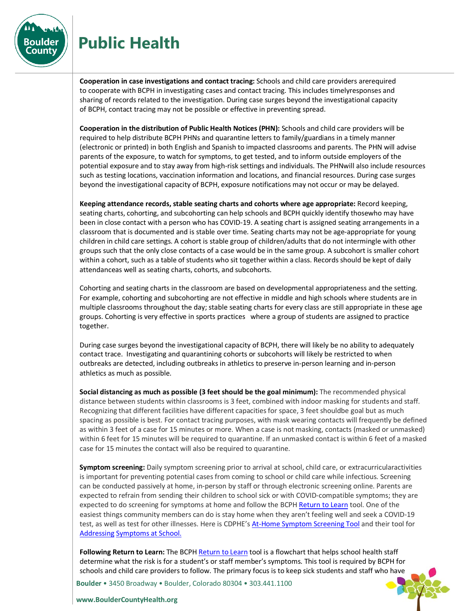

**Cooperation in case investigations and contact tracing:** Schools and child care providers arerequired to cooperate with BCPH in investigating cases and contact tracing. This includes timelyresponses and sharing of records related to the investigation. During case surges beyond the investigational capacity of BCPH, contact tracing may not be possible or effective in preventing spread.

**Cooperation in the distribution of Public Health Notices (PHN):** Schools and child care providers will be required to help distribute BCPH PHNs and quarantine letters to family/guardians in a timely manner (electronic or printed) in both English and Spanish to impacted classrooms and parents. The PHN will advise parents of the exposure, to watch for symptoms, to get tested, and to inform outside employers of the potential exposure and to stay away from high-risk settings and individuals. The PHNwill also include resources such as testing locations, vaccination information and locations, and financial resources. During case surges beyond the investigational capacity of BCPH, exposure notifications may not occur or may be delayed.

**Keeping attendance records, stable seating charts and cohorts where age appropriate:** Record keeping, seating charts, cohorting, and subcohorting can help schools and BCPH quickly identify thosewho may have been in close contact with a person who has COVID-19. A seating chart is assigned seating arrangements in a classroom that is documented and is stable over time. Seating charts may not be age-appropriate for young children in child care settings. A cohort is stable group of children/adults that do not intermingle with other groups such that the only close contacts of a case would be in the same group. A subcohort is smaller cohort within a cohort, such as a table of students who sit together within a class. Records should be kept of daily attendanceas well as seating charts, cohorts, and subcohorts.

Cohorting and seating charts in the classroom are based on developmental appropriateness and the setting. For example, cohorting and subcohorting are not effective in middle and high schools where students are in multiple classrooms throughout the day; stable seating charts for every class are still appropriate in these age groups. Cohorting is very effective in sports practices where a group of students are assigned to practice together.

During case surges beyond the investigational capacity of BCPH, there will likely be no ability to adequately contact trace. Investigating and quarantining cohorts or subcohorts will likely be restricted to when outbreaks are detected, including outbreaks in athletics to preserve in-person learning and in-person athletics as much as possible.

**Social distancing as much as possible (3 feet should be the goal minimum):** The recommended physical distance between students within classrooms is 3 feet, combined with indoor masking for students and staff. Recognizing that different facilities have different capacities for space, 3 feet shouldbe goal but as much spacing as possible is best. For contact tracing purposes, with mask wearing contacts will frequently be defined as within 3 feet of a case for 15 minutes or more. When a case is not masking, contacts (masked or unmasked) within 6 feet for 15 minutes will be required to quarantine. If an unmasked contact is within 6 feet of a masked case for 15 minutes the contact will also be required to quarantine.

**Symptom screening:** Daily symptom screening prior to arrival at school, child care, or extracurricularactivities is important for preventing potential cases from coming to school or child care while infectious. Screening can be conducted passively at home, in-person by staff or through electronic screening online. Parents are expected to refrain from sending their children to school sick or with COVID-compatible symptoms; they are expected to do screening for symptoms at home and follow the BCPH [Return to Learn](https://assets.bouldercounty.org/wp-content/uploads/2021/12/BCPH-RTL-12.30.21-English.pdf) tool. One of the easiest things community members can do is stay home when they aren't feeling well and seek a COVID-19 test, as well as test for other illnesses. Here is CDPHE'[s At-Home Symptom Screening Tool](https://drive.google.com/file/d/1rM77eLlnivcOuoqv0zy0pXXtjnY-fREN/view) and their tool for [Addressing](https://drive.google.com/file/d/1-qAUd4g8tYDZ4KKIlbCc_yG0wkEHjiXV/view) [Symptoms](https://drive.google.com/file/d/1-qAUd4g8tYDZ4KKIlbCc_yG0wkEHjiXV/view) at School.

**Following Return to Learn:** The BCPH [Return to Learn](https://assets.bouldercounty.org/wp-content/uploads/2021/12/BCPH-RTL-12.30.21-English.pdf) tool is a flowchart that helps school health staff determine what the risk is for a student's or staff member's symptoms. This tool is required by BCPH for schools and child care providers to follow. The primary focus is to keep sick students and staff who have

**Boulder** • 3450 Broadway • Boulder, Colorado 80304 • 303.441.1100

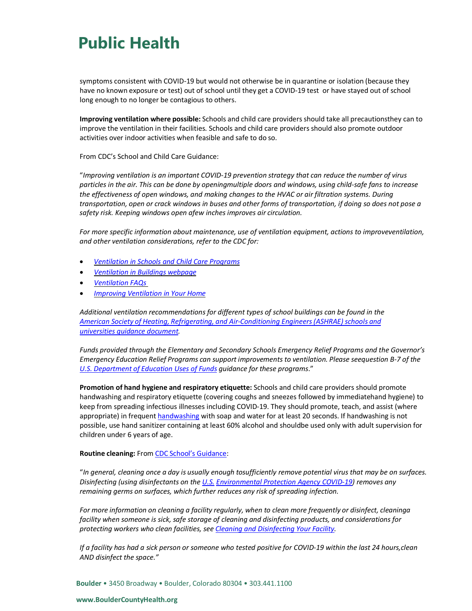symptoms consistent with COVID-19 but would not otherwise be in quarantine or isolation (because they have no known exposure or test) out of school until they get a COVID-19 test or have stayed out of school long enough to no longer be contagious to others.

**Improving ventilation where possible:** Schools and child care providers should take all precautionsthey can to improve the ventilation in their facilities. Schools and child care providers should also promote outdoor activities over indoor activities when feasible and safe to do so.

From [CDC's School and Child Care Guidance:](https://www.cdc.gov/coronavirus/2019-ncov/community/schools-childcare/k-12-guidance.html#ventilation) 

"*Improving ventilation is an important COVID-19 prevention strategy that can reduce the number of virus particles in the air. This can be done by openingmultiple doors and windows, using child-safe fans to increase the effectiveness of open windows, and making changes to the HVAC or air filtration systems. During transportation, open or crack windows in buses and other forms of transportation, if doing so does not pose a safety risk. Keeping windows open afew inches improves air circulation.*

*For more specific information about maintenance, use of ventilation equipment, actions to improveventilation, and other ventilation considerations, refer to the CDC for:*

- *[Ventilation in Schools and Child Care Programs](https://www.cdc.gov/coronavirus/2019-ncov/community/schools-childcare/ventilation.html)*
- *[Ventilation in Buildings webpage](https://www.cdc.gov/coronavirus/2019-ncov/community/ventilation.html)*
- *[Ventilation FAQs](https://www.cdc.gov/coronavirus/2019-ncov/community/ventilation.html#Ventilation-FAQs)*
- *[Improving Ventilation in Your Home](https://www.cdc.gov/coronavirus/2019-ncov/prevent-getting-sick/Improving-Ventilation-Home.html)*

*Additional ventilation recommendations for different types of school buildings can be found in the American Society of Heating, Refrigerating, and Air-Conditioning [Engineers\(ASHRAE\)](https://images.magnetmail.net/images/clients/ASHRAE/attach/ashrae_reopening_schools_and_universities_c19_guidance.pdf) schools and [universities](https://images.magnetmail.net/images/clients/ASHRAE/attach/ashrae_reopening_schools_and_universities_c19_guidance.pdf) guidance document.*

*Funds provided through the Elementary and Secondary Schools Emergency Relief Programs and the Governor's Emergency Education Relief Programs can support improvements to ventilation. Please seequestion B-7 of the U.S. [Department](https://oese.ed.gov/files/2021/05/ESSER.GEER_.FAQs_5.26.21_745AM_FINALb0cd6833f6f46e03ba2d97d30aff953260028045f9ef3b18ea602db4b32b1d99.pdf) of Education Uses of Funds guidance for these programs*."

**Promotion of hand hygiene and respiratory etiquette:** Schools and child care providers should promote handwashing and respiratory etiquette (covering coughs and sneezes followed by immediatehand hygiene) to keep from spreading infectious illnesses including COVID-19. They should promote, teach, and assist (where appropriate) in frequen[t handwashing](https://www.cdc.gov/handwashing/when-how-handwashing.html) with soap and water for at least 20 seconds. If handwashing is not possible, use hand sanitizer containing at least 60% alcohol and shouldbe used only with adult supervision for children under 6 years of age.

#### **Routine cleaning:** From CDC School's [Guidance:](https://www.cdc.gov/coronavirus/2019-ncov/community/schools-childcare/k-12-guidance.html#cleaning-disinfection)

"*In general, cleaning once a day is usually enough tosufficiently remove potential virus that may be on surfaces. Disinfecting (using disinfectants on th[e U.S.](https://www.epa.gov/coronavirus/about-list-n-disinfectants-coronavirus-covid-19-0) [Environmental Protection Agency COVID-19\)](https://www.epa.gov/coronavirus/about-list-n-disinfectants-coronavirus-covid-19-0) removes any remaining germs on surfaces, which further reduces any risk of spreading infection.*

*For more information on cleaning a facility regularly, when to clean more frequently or disinfect, cleaninga facility when someone is sick, safe storage of cleaning and disinfecting products, and considerations for protecting workers who clean facilities, see Cleaning and [Disinfecting](https://www.cdc.gov/coronavirus/2019-ncov/community/disinfecting-building-facility.html) Your Facility.*

*If a facility has had a sick person or someone who tested positive for COVID-19 within the last 24 hours,clean AND disinfect the space."*

**Boulder** • 3450 Broadway • Boulder, Colorado 80304 • 303.441.1100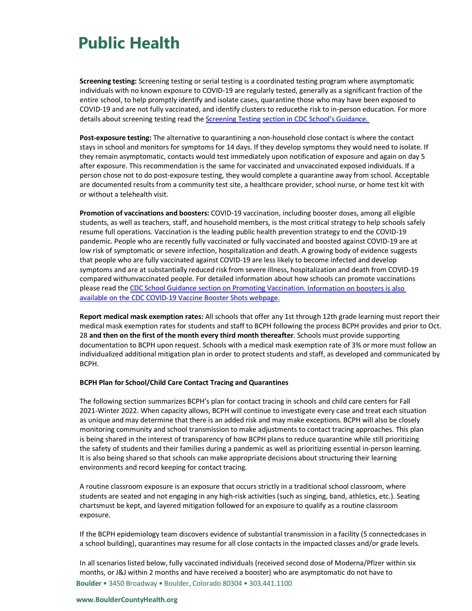**Screening testing:** Screening testing or serial testing is a coordinated testing program where asymptomatic individuals with no known exposure to COVID-19 are regularly tested, generally as a significant fraction of the entire school, to help promptly identify and isolate cases, quarantine those who may have been exposed to COVID-19 and are not fully vaccinated, and identify clusters to reducethe risk to in-person education. For more details about screening testing read the [Screening Testing](https://www.cdc.gov/coronavirus/2019-ncov/community/schools-childcare/k-12-guidance.html#screening-testing) section in CDC School's [Guidance.](https://www.cdc.gov/coronavirus/2019-ncov/community/schools-childcare/k-12-guidance.html#screening-testing)

**Post-exposure testing:** The alternative to quarantining a non-household close contact is where the contact stays in school and monitors for symptoms for 14 days. If they develop symptoms they would need to isolate. If they remain asymptomatic, contacts would test immediately upon notification of exposure and again on day 5 after exposure. This recommendation is the same for vaccinated and unvaccinated exposed individuals. If a person chose not to do post-exposure testing, they would complete a quarantine away from school. Acceptable are documented results from a community test site, a healthcare provider, school nurse, or home test kit with or without a telehealth visit.

**Promotion of vaccinations and boosters:** COVID-19 vaccination, including booster doses, among all eligible students, as well as teachers, staff, and household members, is the most critical strategy to help schools safely resume full operations. Vaccination is the leading public health prevention strategy to end the COVID-19 pandemic. People who are recently fully vaccinated or fully vaccinated and boosted against COVID-19 are at low risk of symptomatic or severe infection, hospitalization and death. A growing body of evidence suggests that people who are fully vaccinated against COVID-19 are less likely to become infected and develop symptoms and are at substantially reduced risk from severe illness, hospitalization and death from COVID-19 compared withunvaccinated people. For detailed information about how schools can promote vaccinations please read the CDC School Guidance section [on Promoting Vaccination.](https://www.cdc.gov/coronavirus/2019-ncov/community/schools-childcare/k-12-guidance.html#vaccination) Information on boosters is also available on the CD[C COVID-19 Vaccine Booster Shots](https://www.cdc.gov/coronavirus/2019-ncov/vaccines/booster-shot.html?s_cid=11706:cdc%20covid%20booster:sem.ga:p:RG:GM:gen:PTN:FY22) webpage.

**Report medical mask exemption rates:** All schools that offer any 1st through 12th grade learning must report their medical mask exemption rates for students and staff to BCPH following the process BCPH provides and prior to Oct. 28 **and then on the first of the month every third month thereafter**. Schools must provide supporting documentation to BCPH upon request. Schools with a medical mask exemption rate of 3% or more must follow an individualized additional mitigation plan in order to protect students and staff, as developed and communicated by BCPH.

#### **BCPH Plan for School/Child Care Contact Tracing and Quarantines**

The following section summarizes BCPH's plan for contact tracing in schools and child care centers for Fall 2021-Winter 2022. When capacity allows, BCPH will continue to investigate every case and treat each situation as unique and may determine that there is an added risk and may make exceptions. BCPH will also be closely monitoring community and school transmission to make adjustments to contact tracing approaches. This plan is being shared in the interest of transparency of how BCPH plans to reduce quarantine while still prioritizing the safety of students and their families during a pandemic as well as prioritizing essential in-person learning. It is also being shared so that schools can make appropriate decisions about structuring their learning environments and record keeping for contact tracing.

A routine classroom exposure is an exposure that occurs strictly in a traditional school classroom, where students are seated and not engaging in any high-risk activities (such as singing, band, athletics, etc.). Seating chartsmust be kept, and layered mitigation followed for an exposure to qualify as a routine classroom exposure.

If the BCPH epidemiology team discovers evidence of substantial transmission in a facility (5 connectedcases in a school building), quarantines may resume for all close contacts in the impacted classes and/or grade levels.

**Boulder** • 3450 Broadway • Boulder, Colorado 80304 • 303.441.1100 In all scenarios listed below, fully vaccinated individuals (received second dose of Moderna/Pfizer within six months, or J&J within 2 months and have received a booster) who are asymptomatic do not have to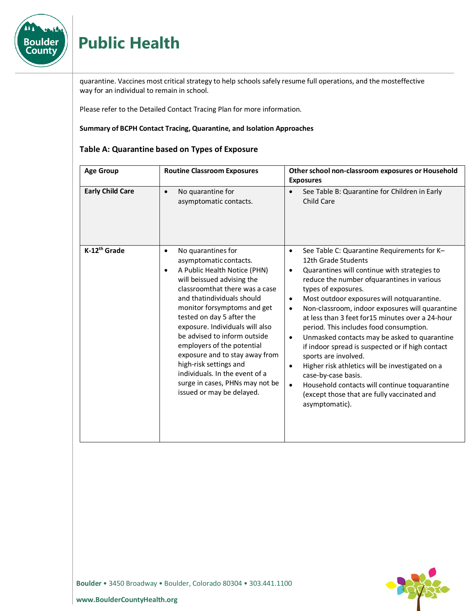

quarantine. Vaccines most critical strategy to help schools safely resume full operations, and the mosteffective way for an individual to remain in school.

Please refer to the Detailed Contact Tracing Plan for more information.

#### **Summary of BCPH Contact Tracing, Quarantine, and Isolation Approaches**

#### **Table A: Quarantine based on Types of Exposure**

| <b>Age Group</b>         | <b>Routine Classroom Exposures</b>                                                                                                                                                                                                                                                                                                                                                                                                                                                                                              | Other school non-classroom exposures or Household<br><b>Exposures</b>                                                                                                                                                                                                                                                                                                                                                                                                                                                                                                                                                                                                                                                                                                                                       |
|--------------------------|---------------------------------------------------------------------------------------------------------------------------------------------------------------------------------------------------------------------------------------------------------------------------------------------------------------------------------------------------------------------------------------------------------------------------------------------------------------------------------------------------------------------------------|-------------------------------------------------------------------------------------------------------------------------------------------------------------------------------------------------------------------------------------------------------------------------------------------------------------------------------------------------------------------------------------------------------------------------------------------------------------------------------------------------------------------------------------------------------------------------------------------------------------------------------------------------------------------------------------------------------------------------------------------------------------------------------------------------------------|
| <b>Early Child Care</b>  | No quarantine for<br>$\bullet$<br>asymptomatic contacts.                                                                                                                                                                                                                                                                                                                                                                                                                                                                        | See Table B: Quarantine for Children in Early<br>$\bullet$<br>Child Care                                                                                                                                                                                                                                                                                                                                                                                                                                                                                                                                                                                                                                                                                                                                    |
| K-12 <sup>th</sup> Grade | No quarantines for<br>$\bullet$<br>asymptomatic contacts.<br>A Public Health Notice (PHN)<br>$\bullet$<br>will beissued advising the<br>classroomthat there was a case<br>and thatindividuals should<br>monitor forsymptoms and get<br>tested on day 5 after the<br>exposure. Individuals will also<br>be advised to inform outside<br>employers of the potential<br>exposure and to stay away from<br>high-risk settings and<br>individuals. In the event of a<br>surge in cases, PHNs may not be<br>issued or may be delayed. | See Table C: Quarantine Requirements for K-<br>$\bullet$<br>12th Grade Students<br>Quarantines will continue with strategies to<br>$\bullet$<br>reduce the number ofquarantines in various<br>types of exposures.<br>Most outdoor exposures will notquarantine.<br>$\bullet$<br>Non-classroom, indoor exposures will quarantine<br>$\bullet$<br>at less than 3 feet for 15 minutes over a 24-hour<br>period. This includes food consumption.<br>Unmasked contacts may be asked to quarantine<br>$\bullet$<br>if indoor spread is suspected or if high contact<br>sports are involved.<br>Higher risk athletics will be investigated on a<br>$\bullet$<br>case-by-case basis.<br>Household contacts will continue toquarantine<br>$\bullet$<br>(except those that are fully vaccinated and<br>asymptomatic). |

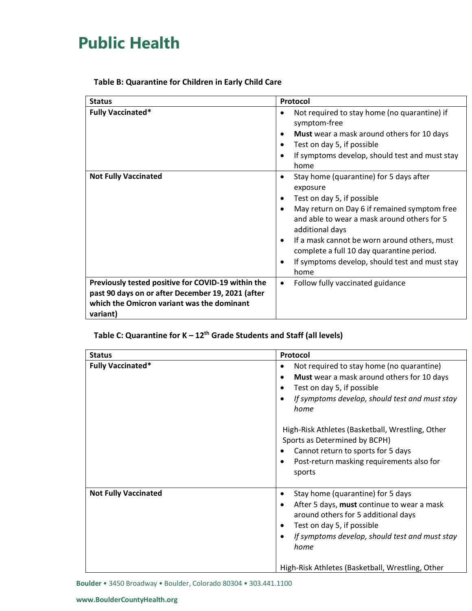|  |  | Table B: Quarantine for Children in Early Child Care |
|--|--|------------------------------------------------------|
|--|--|------------------------------------------------------|

| <b>Status</b>                                                                                                                                                     | Protocol                                                                                                                                                                                                                                                                                                                                                                                               |
|-------------------------------------------------------------------------------------------------------------------------------------------------------------------|--------------------------------------------------------------------------------------------------------------------------------------------------------------------------------------------------------------------------------------------------------------------------------------------------------------------------------------------------------------------------------------------------------|
| <b>Fully Vaccinated*</b>                                                                                                                                          | Not required to stay home (no quarantine) if<br>$\bullet$<br>symptom-free<br>Must wear a mask around others for 10 days<br>٠<br>Test on day 5, if possible<br>$\bullet$<br>If symptoms develop, should test and must stay<br>$\bullet$<br>home                                                                                                                                                         |
| <b>Not Fully Vaccinated</b>                                                                                                                                       | Stay home (quarantine) for 5 days after<br>$\bullet$<br>exposure<br>Test on day 5, if possible<br>٠<br>May return on Day 6 if remained symptom free<br>and able to wear a mask around others for 5<br>additional days<br>If a mask cannot be worn around others, must<br>$\bullet$<br>complete a full 10 day quarantine period.<br>If symptoms develop, should test and must stay<br>$\bullet$<br>home |
| Previously tested positive for COVID-19 within the<br>past 90 days on or after December 19, 2021 (after<br>which the Omicron variant was the dominant<br>variant) | Follow fully vaccinated guidance<br>$\bullet$                                                                                                                                                                                                                                                                                                                                                          |

### **Table C: Quarantine for K – 12th Grade Students and Staff (all levels)**

| <b>Status</b>               | Protocol                                                                                                                                                                                                                                                                             |
|-----------------------------|--------------------------------------------------------------------------------------------------------------------------------------------------------------------------------------------------------------------------------------------------------------------------------------|
| <b>Fully Vaccinated*</b>    | Not required to stay home (no quarantine)<br>$\bullet$<br>Must wear a mask around others for 10 days<br>$\bullet$<br>Test on day 5, if possible<br>$\bullet$<br>If symptoms develop, should test and must stay<br>home                                                               |
|                             | High-Risk Athletes (Basketball, Wrestling, Other<br>Sports as Determined by BCPH)<br>Cannot return to sports for 5 days<br>٠<br>Post-return masking requirements also for<br>٠<br>sports                                                                                             |
| <b>Not Fully Vaccinated</b> | Stay home (quarantine) for 5 days<br>$\bullet$<br>After 5 days, must continue to wear a mask<br>٠<br>around others for 5 additional days<br>Test on day 5, if possible<br>If symptoms develop, should test and must stay<br>home<br>High-Risk Athletes (Basketball, Wrestling, Other |

**Boulder** • 3450 Broadway • Boulder, Colorado 80304 • 303.441.1100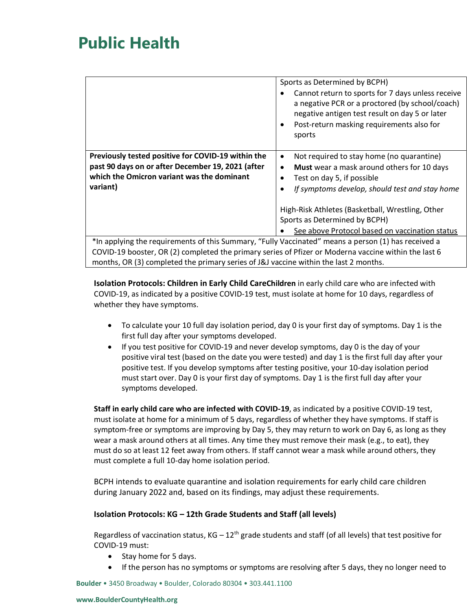|                                                                                                                                                                   | Sports as Determined by BCPH)<br>Cannot return to sports for 7 days unless receive<br>$\bullet$<br>a negative PCR or a proctored (by school/coach)<br>negative antigen test result on day 5 or later<br>Post-return masking requirements also for<br>sports        |  |
|-------------------------------------------------------------------------------------------------------------------------------------------------------------------|--------------------------------------------------------------------------------------------------------------------------------------------------------------------------------------------------------------------------------------------------------------------|--|
| Previously tested positive for COVID-19 within the<br>past 90 days on or after December 19, 2021 (after<br>which the Omicron variant was the dominant<br>variant) | Not required to stay home (no quarantine)<br>$\bullet$<br>Must wear a mask around others for 10 days<br>$\bullet$<br>Test on day 5, if possible<br>If symptoms develop, should test and stay home<br>$\bullet$<br>High-Risk Athletes (Basketball, Wrestling, Other |  |
|                                                                                                                                                                   | Sports as Determined by BCPH)<br>See above Protocol based on vaccination status                                                                                                                                                                                    |  |
| *In applying the requirements of this Summary, "Fully Vaccinated" means a person (1) has received a                                                               |                                                                                                                                                                                                                                                                    |  |
| COVID-19 booster, OR (2) completed the primary series of Pfizer or Moderna vaccine within the last 6                                                              |                                                                                                                                                                                                                                                                    |  |

months, OR (3) completed the primary series of J&J vaccine within the last 2 months.

**Isolation Protocols: Children in Early Child CareChildren** in early child care who are infected with COVID-19, as indicated by a positive COVID-19 test, must isolate at home for 10 days, regardless of whether they have symptoms.

- To calculate your 10 full day isolation period, day 0 is your first day of symptoms. Day 1 is the first full day after your symptoms developed.
- If you test positive for COVID-19 and never develop symptoms, day 0 is the day of your positive viral test (based on the date you were tested) and day 1 is the first full day after your positive test. If you develop symptoms after testing positive, your 10-day isolation period must start over. Day 0 is your first day of symptoms. Day 1 is the first full day after your symptoms developed.

**Staff in early child care who are infected with COVID-19**, as indicated by a positive COVID-19 test, must isolate at home for a minimum of 5 days, regardless of whether they have symptoms. If staff is symptom-free or symptoms are improving by Day 5, they may return to work on Day 6, as long as they wear a mask around others at all times. Any time they must remove their mask (e.g., to eat), they must do so at least 12 feet away from others. If staff cannot wear a mask while around others, they must complete a full 10-day home isolation period.

BCPH intends to evaluate quarantine and isolation requirements for early child care children during January 2022 and, based on its findings, may adjust these requirements.

#### **Isolation Protocols: KG – 12th Grade Students and Staff (all levels)**

Regardless of vaccination status,  $KG - 12<sup>th</sup>$  grade students and staff (of all levels) that test positive for COVID-19 must:

- Stay home for 5 days.
- If the person has no symptoms or symptoms are resolving after 5 days, they no longer need to